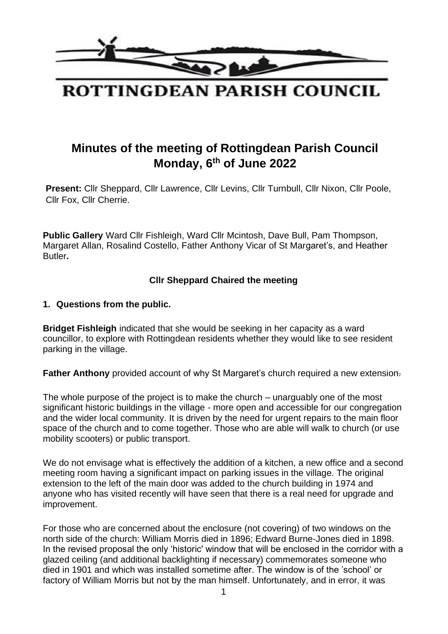

# **Minutes of the meeting of Rottingdean Parish Council Monday, 6 th of June 2022**

**Present:** Cllr Sheppard, Cllr Lawrence, Cllr Levins, Cllr Turnbull, Cllr Nixon, Cllr Poole, Cllr Fox, Cllr Cherrie.

**Public Gallery** Ward Cllr Fishleigh, Ward Cllr Mcintosh, Dave Bull, Pam Thompson, Margaret Allan, Rosalind Costello, Father Anthony Vicar of St Margaret's, and Heather Butler**.** 

#### **Cllr Sheppard Chaired the meeting**

#### **1. Questions from the public.**

**Bridget Fishleigh** indicated that she would be seeking in her capacity as a ward councillor, to explore with Rottingdean residents whether they would like to see resident parking in the village.

**Father Anthony** provided account of why St Margaret's church required a new extension-

The whole purpose of the project is to make the church – unarguably one of the most significant historic buildings in the village - more open and accessible for our congregation and the wider local community. It is driven by the need for urgent repairs to the main floor space of the church and to come together. Those who are able will walk to church (or use mobility scooters) or public transport.

We do not envisage what is effectively the addition of a kitchen, a new office and a second meeting room having a significant impact on parking issues in the village. The original extension to the left of the main door was added to the church building in 1974 and anyone who has visited recently will have seen that there is a real need for upgrade and improvement.

For those who are concerned about the enclosure (not covering) of two windows on the north side of the church: William Morris died in 1896; Edward Burne-Jones died in 1898. In the revised proposal the only 'historic' window that will be enclosed in the corridor with a glazed ceiling (and additional backlighting if necessary) commemorates someone who died in 1901 and which was installed sometime after. The window is of the 'school' or factory of William Morris but not by the man himself. Unfortunately, and in error, it was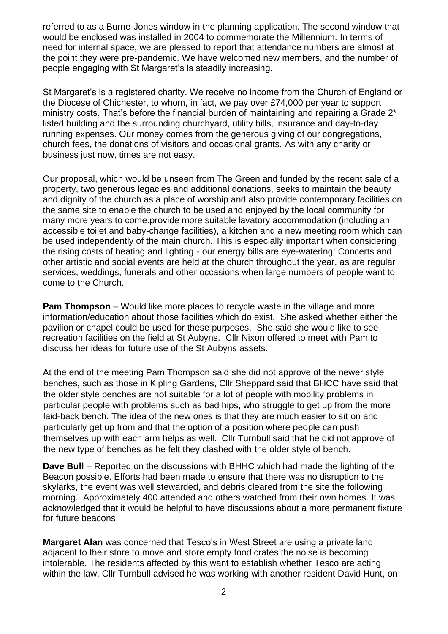referred to as a Burne-Jones window in the planning application. The second window that would be enclosed was installed in 2004 to commemorate the Millennium. In terms of need for internal space, we are pleased to report that attendance numbers are almost at the point they were pre-pandemic. We have welcomed new members, and the number of people engaging with St Margaret's is steadily increasing.

St Margaret's is a registered charity. We receive no income from the Church of England or the Diocese of Chichester, to whom, in fact, we pay over £74,000 per year to support ministry costs. That's before the financial burden of maintaining and repairing a Grade 2\* listed building and the surrounding churchyard, utility bills, insurance and day-to-day running expenses. Our money comes from the generous giving of our congregations, church fees, the donations of visitors and occasional grants. As with any charity or business just now, times are not easy.

Our proposal, which would be unseen from The Green and funded by the recent sale of a property, two generous legacies and additional donations, seeks to maintain the beauty and dignity of the church as a place of worship and also provide contemporary facilities on the same site to enable the church to be used and enjoyed by the local community for many more years to come.provide more suitable lavatory accommodation (including an accessible toilet and baby-change facilities), a kitchen and a new meeting room which can be used independently of the main church. This is especially important when considering the rising costs of heating and lighting - our energy bills are eye-watering! Concerts and other artistic and social events are held at the church throughout the year, as are regular services, weddings, funerals and other occasions when large numbers of people want to come to the Church.

**Pam Thompson** – Would like more places to recycle waste in the village and more information/education about those facilities which do exist. She asked whether either the pavilion or chapel could be used for these purposes. She said she would like to see recreation facilities on the field at St Aubyns. Cllr Nixon offered to meet with Pam to discuss her ideas for future use of the St Aubyns assets.

At the end of the meeting Pam Thompson said she did not approve of the newer style benches, such as those in Kipling Gardens, Cllr Sheppard said that BHCC have said that the older style benches are not suitable for a lot of people with mobility problems in particular people with problems such as bad hips, who struggle to get up from the more laid-back bench. The idea of the new ones is that they are much easier to sit on and particularly get up from and that the option of a position where people can push themselves up with each arm helps as well. Cllr Turnbull said that he did not approve of the new type of benches as he felt they clashed with the older style of bench.

**Dave Bull** – Reported on the discussions with BHHC which had made the lighting of the Beacon possible. Efforts had been made to ensure that there was no disruption to the skylarks, the event was well stewarded, and debris cleared from the site the following morning. Approximately 400 attended and others watched from their own homes. It was acknowledged that it would be helpful to have discussions about a more permanent fixture for future beacons

**Margaret Alan** was concerned that Tesco's in West Street are using a private land adjacent to their store to move and store empty food crates the noise is becoming intolerable. The residents affected by this want to establish whether Tesco are acting within the law. Cllr Turnbull advised he was working with another resident David Hunt, on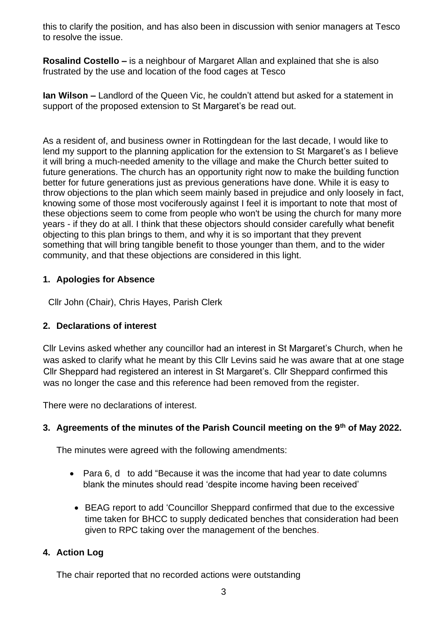this to clarify the position, and has also been in discussion with senior managers at Tesco to resolve the issue.

**Rosalind Costello –** is a neighbour of Margaret Allan and explained that she is also frustrated by the use and location of the food cages at Tesco

**Ian Wilson –** Landlord of the Queen Vic, he couldn't attend but asked for a statement in support of the proposed extension to St Margaret's be read out.

As a resident of, and business owner in Rottingdean for the last decade, I would like to lend my support to the planning application for the extension to St Margaret's as I believe it will bring a much-needed amenity to the village and make the Church better suited to future generations. The church has an opportunity right now to make the building function better for future generations just as previous generations have done. While it is easy to throw objections to the plan which seem mainly based in prejudice and only loosely in fact, knowing some of those most vociferously against I feel it is important to note that most of these objections seem to come from people who won't be using the church for many more years - if they do at all. I think that these objectors should consider carefully what benefit objecting to this plan brings to them, and why it is so important that they prevent something that will bring tangible benefit to those younger than them, and to the wider community, and that these objections are considered in this light.

## **1. Apologies for Absence**

Cllr John (Chair), Chris Hayes, Parish Clerk

## **2. Declarations of interest**

Cllr Levins asked whether any councillor had an interest in St Margaret's Church, when he was asked to clarify what he meant by this Cllr Levins said he was aware that at one stage Cllr Sheppard had registered an interest in St Margaret's. Cllr Sheppard confirmed this was no longer the case and this reference had been removed from the register.

There were no declarations of interest.

## **3. Agreements of the minutes of the Parish Council meeting on the 9th of May 2022.**

The minutes were agreed with the following amendments:

- Para 6, d to add "Because it was the income that had year to date columns blank the minutes should read 'despite income having been received'
- BEAG report to add 'Councillor Sheppard confirmed that due to the excessive time taken for BHCC to supply dedicated benches that consideration had been given to RPC taking over the management of the benches.

## **4. Action Log**

The chair reported that no recorded actions were outstanding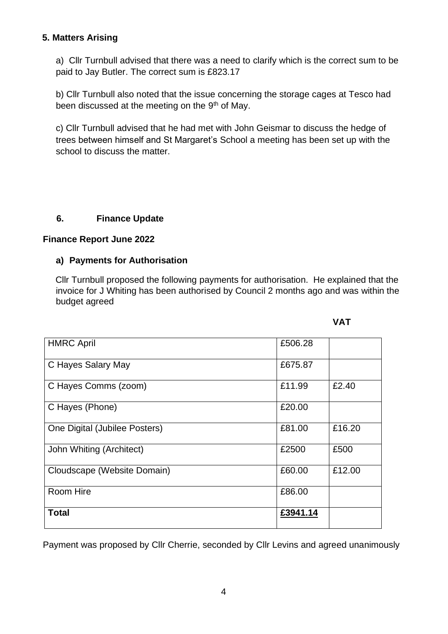#### **5. Matters Arising**

a) Cllr Turnbull advised that there was a need to clarify which is the correct sum to be paid to Jay Butler. The correct sum is £823.17

b) Cllr Turnbull also noted that the issue concerning the storage cages at Tesco had been discussed at the meeting on the  $9<sup>th</sup>$  of May.

c) Cllr Turnbull advised that he had met with John Geismar to discuss the hedge of trees between himself and St Margaret's School a meeting has been set up with the school to discuss the matter.

#### **6. Finance Update**

#### **Finance Report June 2022**

#### **a) Payments for Authorisation**

Cllr Turnbull proposed the following payments for authorisation. He explained that the invoice for J Whiting has been authorised by Council 2 months ago and was within the budget agreed

| <b>HMRC April</b>             | £506.28  |        |
|-------------------------------|----------|--------|
| C Hayes Salary May            | £675.87  |        |
| C Hayes Comms (zoom)          | £11.99   | £2.40  |
| C Hayes (Phone)               | £20.00   |        |
| One Digital (Jubilee Posters) | £81.00   | £16.20 |
| John Whiting (Architect)      | £2500    | £500   |
| Cloudscape (Website Domain)   | £60.00   | £12.00 |
| Room Hire                     | £86.00   |        |
| <b>Total</b>                  | £3941.14 |        |

Payment was proposed by Cllr Cherrie, seconded by Cllr Levins and agreed unanimously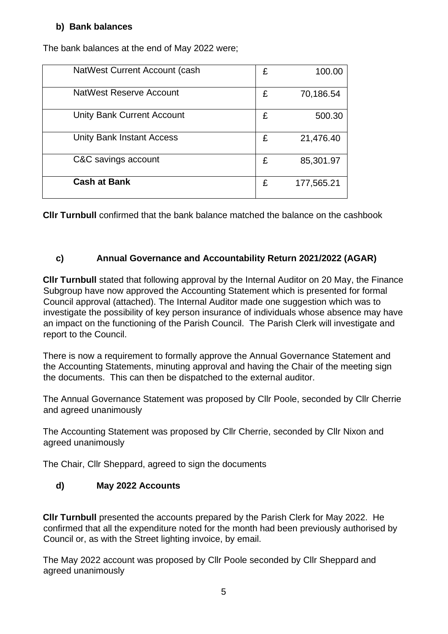## **b) Bank balances**

| NatWest Current Account (cash    | £ | 100.00     |
|----------------------------------|---|------------|
| NatWest Reserve Account          | £ | 70,186.54  |
| Unity Bank Current Account       | £ | 500.30     |
| <b>Unity Bank Instant Access</b> | £ | 21,476.40  |
| C&C savings account              | £ | 85,301.97  |
| <b>Cash at Bank</b>              | £ | 177,565.21 |

The bank balances at the end of May 2022 were;

**Cllr Turnbull** confirmed that the bank balance matched the balance on the cashbook

## **c) Annual Governance and Accountability Return 2021/2022 (AGAR)**

**Cllr Turnbull** stated that following approval by the Internal Auditor on 20 May, the Finance Subgroup have now approved the Accounting Statement which is presented for formal Council approval (attached). The Internal Auditor made one suggestion which was to investigate the possibility of key person insurance of individuals whose absence may have an impact on the functioning of the Parish Council. The Parish Clerk will investigate and report to the Council.

There is now a requirement to formally approve the Annual Governance Statement and the Accounting Statements, minuting approval and having the Chair of the meeting sign the documents. This can then be dispatched to the external auditor.

The Annual Governance Statement was proposed by Cllr Poole, seconded by Cllr Cherrie and agreed unanimously

The Accounting Statement was proposed by Cllr Cherrie, seconded by Cllr Nixon and agreed unanimously

The Chair, Cllr Sheppard, agreed to sign the documents

## **d) May 2022 Accounts**

**Cllr Turnbull** presented the accounts prepared by the Parish Clerk for May 2022. He confirmed that all the expenditure noted for the month had been previously authorised by Council or, as with the Street lighting invoice, by email.

The May 2022 account was proposed by Cllr Poole seconded by Cllr Sheppard and agreed unanimously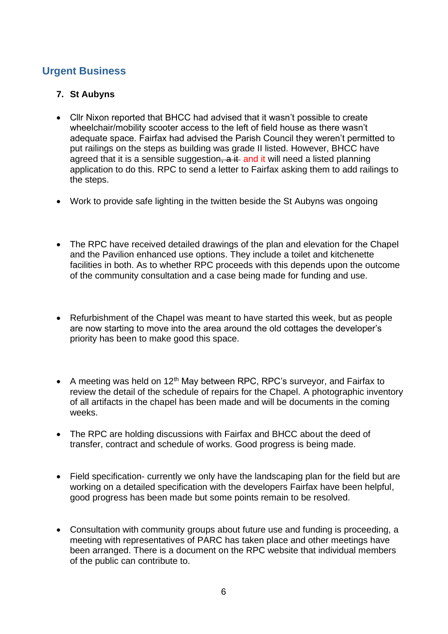## **Urgent Business**

#### **7. St Aubyns**

- Cllr Nixon reported that BHCC had advised that it wasn't possible to create wheelchair/mobility scooter access to the left of field house as there wasn't adequate space. Fairfax had advised the Parish Council they weren't permitted to put railings on the steps as building was grade II listed. However, BHCC have agreed that it is a sensible suggestion, a it and it will need a listed planning application to do this. RPC to send a letter to Fairfax asking them to add railings to the steps.
- Work to provide safe lighting in the twitten beside the St Aubyns was ongoing
- The RPC have received detailed drawings of the plan and elevation for the Chapel and the Pavilion enhanced use options. They include a toilet and kitchenette facilities in both. As to whether RPC proceeds with this depends upon the outcome of the community consultation and a case being made for funding and use.
- Refurbishment of the Chapel was meant to have started this week, but as people are now starting to move into the area around the old cottages the developer's priority has been to make good this space.
- A meeting was held on  $12<sup>th</sup>$  May between RPC, RPC's surveyor, and Fairfax to review the detail of the schedule of repairs for the Chapel. A photographic inventory of all artifacts in the chapel has been made and will be documents in the coming weeks.
- The RPC are holding discussions with Fairfax and BHCC about the deed of transfer, contract and schedule of works. Good progress is being made.
- Field specification- currently we only have the landscaping plan for the field but are working on a detailed specification with the developers Fairfax have been helpful, good progress has been made but some points remain to be resolved.
- Consultation with community groups about future use and funding is proceeding, a meeting with representatives of PARC has taken place and other meetings have been arranged. There is a document on the RPC website that individual members of the public can contribute to.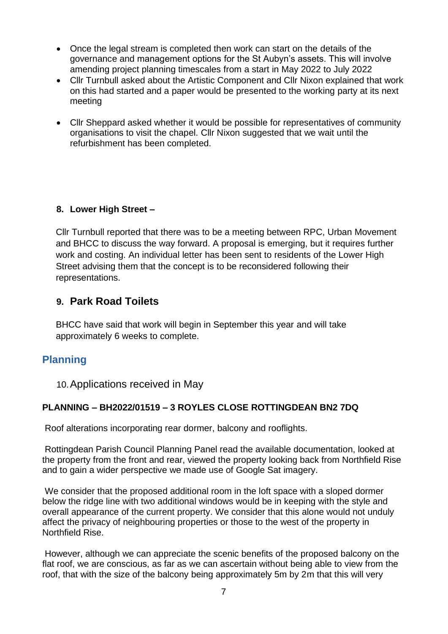- Once the legal stream is completed then work can start on the details of the governance and management options for the St Aubyn's assets. This will involve amending project planning timescales from a start in May 2022 to July 2022
- Cllr Turnbull asked about the Artistic Component and Cllr Nixon explained that work on this had started and a paper would be presented to the working party at its next meeting
- Cllr Sheppard asked whether it would be possible for representatives of community organisations to visit the chapel. Cllr Nixon suggested that we wait until the refurbishment has been completed.

## **8. Lower High Street –**

Cllr Turnbull reported that there was to be a meeting between RPC, Urban Movement and BHCC to discuss the way forward. A proposal is emerging, but it requires further work and costing. An individual letter has been sent to residents of the Lower High Street advising them that the concept is to be reconsidered following their representations.

## **9. Park Road Toilets**

BHCC have said that work will begin in September this year and will take approximately 6 weeks to complete.

## **Planning**

10.Applications received in May

## **PLANNING – BH2022/01519 – 3 ROYLES CLOSE ROTTINGDEAN BN2 7DQ**

Roof alterations incorporating rear dormer, balcony and rooflights.

Rottingdean Parish Council Planning Panel read the available documentation, looked at the property from the front and rear, viewed the property looking back from Northfield Rise and to gain a wider perspective we made use of Google Sat imagery.

We consider that the proposed additional room in the loft space with a sloped dormer below the ridge line with two additional windows would be in keeping with the style and overall appearance of the current property. We consider that this alone would not unduly affect the privacy of neighbouring properties or those to the west of the property in Northfield Rise.

However, although we can appreciate the scenic benefits of the proposed balcony on the flat roof, we are conscious, as far as we can ascertain without being able to view from the roof, that with the size of the balcony being approximately 5m by 2m that this will very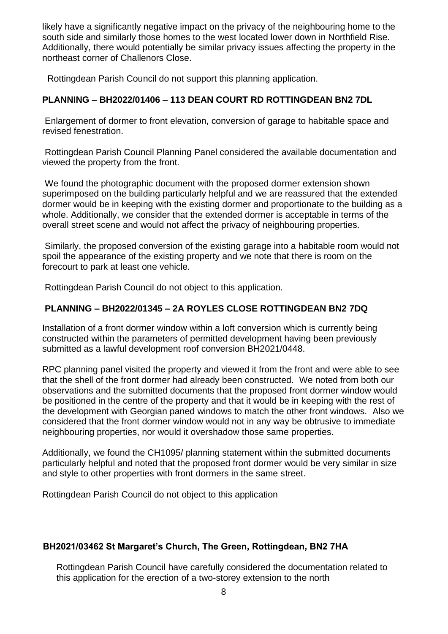likely have a significantly negative impact on the privacy of the neighbouring home to the south side and similarly those homes to the west located lower down in Northfield Rise. Additionally, there would potentially be similar privacy issues affecting the property in the northeast corner of Challenors Close.

Rottingdean Parish Council do not support this planning application.

#### **PLANNING – BH2022/01406 – 113 DEAN COURT RD ROTTINGDEAN BN2 7DL**

Enlargement of dormer to front elevation, conversion of garage to habitable space and revised fenestration.

Rottingdean Parish Council Planning Panel considered the available documentation and viewed the property from the front.

We found the photographic document with the proposed dormer extension shown superimposed on the building particularly helpful and we are reassured that the extended dormer would be in keeping with the existing dormer and proportionate to the building as a whole. Additionally, we consider that the extended dormer is acceptable in terms of the overall street scene and would not affect the privacy of neighbouring properties.

Similarly, the proposed conversion of the existing garage into a habitable room would not spoil the appearance of the existing property and we note that there is room on the forecourt to park at least one vehicle.

Rottingdean Parish Council do not object to this application.

## **PLANNING – BH2022/01345 – 2A ROYLES CLOSE ROTTINGDEAN BN2 7DQ**

Installation of a front dormer window within a loft conversion which is currently being constructed within the parameters of permitted development having been previously submitted as a lawful development roof conversion BH2021/0448.

RPC planning panel visited the property and viewed it from the front and were able to see that the shell of the front dormer had already been constructed. We noted from both our observations and the submitted documents that the proposed front dormer window would be positioned in the centre of the property and that it would be in keeping with the rest of the development with Georgian paned windows to match the other front windows. Also we considered that the front dormer window would not in any way be obtrusive to immediate neighbouring properties, nor would it overshadow those same properties.

Additionally, we found the CH1095/ planning statement within the submitted documents particularly helpful and noted that the proposed front dormer would be very similar in size and style to other properties with front dormers in the same street.

Rottingdean Parish Council do not object to this application

#### **BH2021/03462 St Margaret's Church, The Green, Rottingdean, BN2 7HA**

Rottingdean Parish Council have carefully considered the documentation related to this application for the erection of a two-storey extension to the north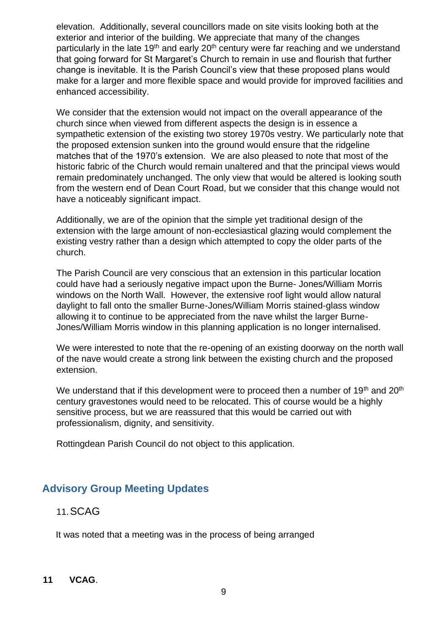elevation. Additionally, several councillors made on site visits looking both at the exterior and interior of the building. We appreciate that many of the changes particularly in the late 19<sup>th</sup> and early 20<sup>th</sup> century were far reaching and we understand that going forward for St Margaret's Church to remain in use and flourish that further change is inevitable. It is the Parish Council's view that these proposed plans would make for a larger and more flexible space and would provide for improved facilities and enhanced accessibility.

We consider that the extension would not impact on the overall appearance of the church since when viewed from different aspects the design is in essence a sympathetic extension of the existing two storey 1970s vestry. We particularly note that the proposed extension sunken into the ground would ensure that the ridgeline matches that of the 1970's extension. We are also pleased to note that most of the historic fabric of the Church would remain unaltered and that the principal views would remain predominately unchanged. The only view that would be altered is looking south from the western end of Dean Court Road, but we consider that this change would not have a noticeably significant impact.

Additionally, we are of the opinion that the simple yet traditional design of the extension with the large amount of non-ecclesiastical glazing would complement the existing vestry rather than a design which attempted to copy the older parts of the church.

The Parish Council are very conscious that an extension in this particular location could have had a seriously negative impact upon the Burne- Jones/William Morris windows on the North Wall. However, the extensive roof light would allow natural daylight to fall onto the smaller Burne-Jones/William Morris stained-glass window allowing it to continue to be appreciated from the nave whilst the larger Burne-Jones/William Morris window in this planning application is no longer internalised.

We were interested to note that the re-opening of an existing doorway on the north wall of the nave would create a strong link between the existing church and the proposed extension.

We understand that if this development were to proceed then a number of 19<sup>th</sup> and 20<sup>th</sup> century gravestones would need to be relocated. This of course would be a highly sensitive process, but we are reassured that this would be carried out with professionalism, dignity, and sensitivity.

Rottingdean Parish Council do not object to this application.

## **Advisory Group Meeting Updates**

## 11.SCAG

It was noted that a meeting was in the process of being arranged

#### **11 VCAG**.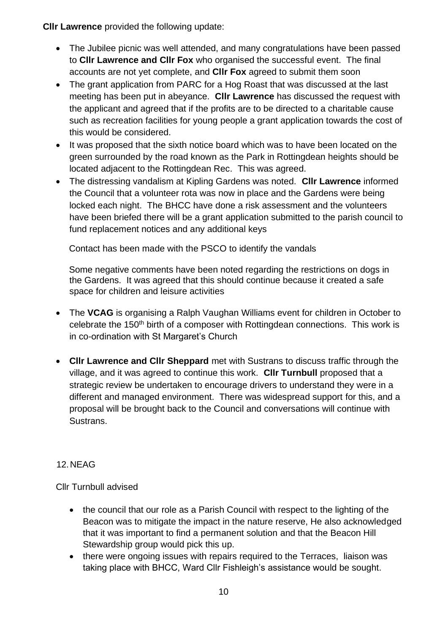**Cllr Lawrence** provided the following update:

- The Jubilee picnic was well attended, and many congratulations have been passed to **Cllr Lawrence and Cllr Fox** who organised the successful event. The final accounts are not yet complete, and **Cllr Fox** agreed to submit them soon
- The grant application from PARC for a Hog Roast that was discussed at the last meeting has been put in abeyance. **Cllr Lawrence** has discussed the request with the applicant and agreed that if the profits are to be directed to a charitable cause such as recreation facilities for young people a grant application towards the cost of this would be considered.
- It was proposed that the sixth notice board which was to have been located on the green surrounded by the road known as the Park in Rottingdean heights should be located adjacent to the Rottingdean Rec. This was agreed.
- The distressing vandalism at Kipling Gardens was noted. **Cllr Lawrence** informed the Council that a volunteer rota was now in place and the Gardens were being locked each night. The BHCC have done a risk assessment and the volunteers have been briefed there will be a grant application submitted to the parish council to fund replacement notices and any additional keys

Contact has been made with the PSCO to identify the vandals

Some negative comments have been noted regarding the restrictions on dogs in the Gardens. It was agreed that this should continue because it created a safe space for children and leisure activities

- The **VCAG** is organising a Ralph Vaughan Williams event for children in October to celebrate the 150<sup>th</sup> birth of a composer with Rottingdean connections. This work is in co-ordination with St Margaret's Church
- **Cllr Lawrence and Cllr Sheppard** met with Sustrans to discuss traffic through the village, and it was agreed to continue this work. **Cllr Turnbull** proposed that a strategic review be undertaken to encourage drivers to understand they were in a different and managed environment. There was widespread support for this, and a proposal will be brought back to the Council and conversations will continue with Sustrans.

## 12.NEAG

Cllr Turnbull advised

- the council that our role as a Parish Council with respect to the lighting of the Beacon was to mitigate the impact in the nature reserve, He also acknowledged that it was important to find a permanent solution and that the Beacon Hill Stewardship group would pick this up.
- there were ongoing issues with repairs required to the Terraces, liaison was taking place with BHCC, Ward Cllr Fishleigh's assistance would be sought.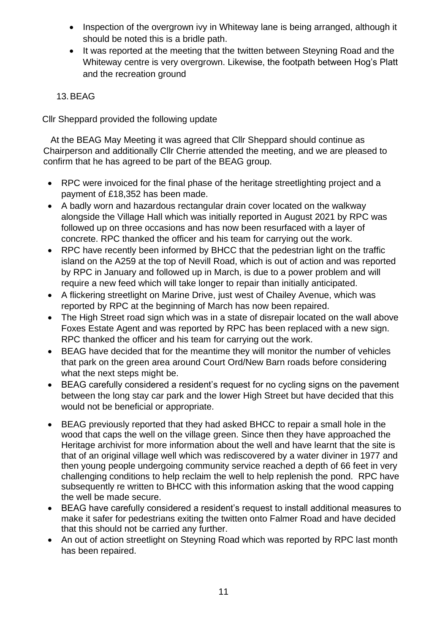- Inspection of the overgrown ivy in Whiteway lane is being arranged, although it should be noted this is a bridle path.
- It was reported at the meeting that the twitten between Steyning Road and the Whiteway centre is very overgrown. Likewise, the footpath between Hog's Platt and the recreation ground

#### 13.BEAG

Cllr Sheppard provided the following update

 At the BEAG May Meeting it was agreed that Cllr Sheppard should continue as Chairperson and additionally Cllr Cherrie attended the meeting, and we are pleased to confirm that he has agreed to be part of the BEAG group.

- RPC were invoiced for the final phase of the heritage streetlighting project and a payment of £18,352 has been made.
- A badly worn and hazardous rectangular drain cover located on the walkway alongside the Village Hall which was initially reported in August 2021 by RPC was followed up on three occasions and has now been resurfaced with a layer of concrete. RPC thanked the officer and his team for carrying out the work.
- RPC have recently been informed by BHCC that the pedestrian light on the traffic island on the A259 at the top of Nevill Road, which is out of action and was reported by RPC in January and followed up in March, is due to a power problem and will require a new feed which will take longer to repair than initially anticipated.
- A flickering streetlight on Marine Drive, just west of Chailey Avenue, which was reported by RPC at the beginning of March has now been repaired.
- The High Street road sign which was in a state of disrepair located on the wall above Foxes Estate Agent and was reported by RPC has been replaced with a new sign. RPC thanked the officer and his team for carrying out the work.
- BEAG have decided that for the meantime they will monitor the number of vehicles that park on the green area around Court Ord/New Barn roads before considering what the next steps might be.
- BEAG carefully considered a resident's request for no cycling signs on the pavement between the long stay car park and the lower High Street but have decided that this would not be beneficial or appropriate.
- BEAG previously reported that they had asked BHCC to repair a small hole in the wood that caps the well on the village green. Since then they have approached the Heritage archivist for more information about the well and have learnt that the site is that of an original village well which was rediscovered by a water diviner in 1977 and then young people undergoing community service reached a depth of 66 feet in very challenging conditions to help reclaim the well to help replenish the pond. RPC have subsequently re written to BHCC with this information asking that the wood capping the well be made secure.
- BEAG have carefully considered a resident's request to install additional measures to make it safer for pedestrians exiting the twitten onto Falmer Road and have decided that this should not be carried any further.
- An out of action streetlight on Steyning Road which was reported by RPC last month has been repaired.